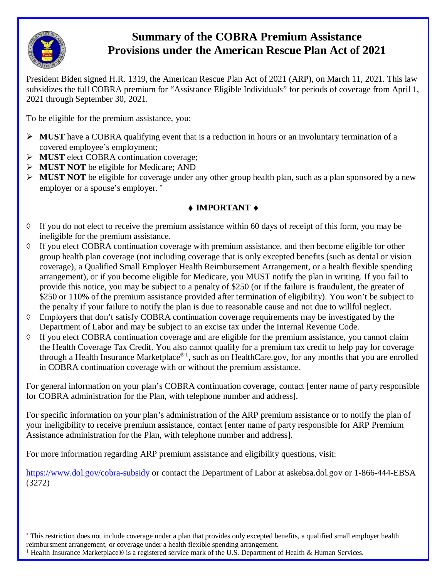

 $\overline{a}$ 

## **Provisions under the American Rescue Plan Act of 2021 Summary of the COBRA Premium Assistance**

 President Biden signed H.R. 1319, the American Rescue Plan Act of 2021 (ARP), on March 11, 2021. This law subsidizes the full COBRA premium for "Assistance Eligible Individuals" for periods of coverage from April 1, 2021 through September 30, 2021.

To be eligible for the premium assistance, you:

- **MUST** have a COBRA qualifying event that is a reduction in hours or an involuntary termination of a covered employee's employment;
- **MUST** elect COBRA continuation coverage;
- **MUST NOT** be eligible for Medicare; AND
- **MUST NOT** be eligible for coverage under any other group health plan, such as a plan sponsored by a new employer or a spouse's employer. <sup>∗</sup>

## ♦ **IMPORTANT** ♦

- ◊ If you do not elect to receive the premium assistance within 60 days of receipt of this form, you may be ineligible for the premium assistance.
- arrangement), or if you become eligible for Medicare, you MUST notify the plan in writing. If you fail to provide this notice, you may be subject to a penalty of \$250 (or if the failure is fraudulent, the greater of the penalty if your failure to notify the plan is due to reasonable cause and not due to willful neglect.  $\Diamond$  If you elect COBRA continuation coverage with premium assistance, and then become eligible for other group health plan coverage (not including coverage that is only excepted benefits (such as dental or vision coverage), a Qualified Small Employer Health Reimbursement Arrangement, or a health flexible spending \$250 or 110% of the premium assistance provided after termination of eligibility). You won't be subject to
- ◊ Employers that don't satisfy COBRA continuation coverage requirements may be investigated by the Department of Labor and may be subject to an excise tax under the Internal Revenue Code.
- ◊ If you elect COBRA continuation coverage and are eligible for the premium assistance, you cannot claim the Health Coverage Tax Credit. You also cannot qualify for a premium tax credit to help pay for coverage through a Health Insurance Marketplace®<sup>1</sup>, such as on [HealthCare.gov,](https://HealthCare.gov) for any months that you are enrolled in COBRA continuation coverage with or without the premium assistance.

For general information on your plan's COBRA continuation coverage, contact [enter name of party responsible for COBRA administration for the Plan, with telephone number and address].

 Assistance administration for the Plan, with telephone number and address]. For specific information on your plan's administration of the ARP premium assistance or to notify the plan of your ineligibility to receive premium assistance, contact [enter name of party responsible for ARP Premium

For more information regarding ARP premium assistance and eligibility questions, visit:

<https://www.dol.gov/cobra-subsidy> or contact the Department of Labor at [askebsa.dol.gov](https://askebsa.dol.gov) or 1-866-444-EBSA (3272)

 <sup>∗</sup> This restriction does not include coverage under a plan that provides only excepted benefits, a qualified small employer health reimbursment arrangement, or coverage under a health flexible spending arrangement.

<sup>&</sup>lt;sup>1</sup> Health Insurance Marketplace® is a registered service mark of the U.S. Department of Health & Human Services.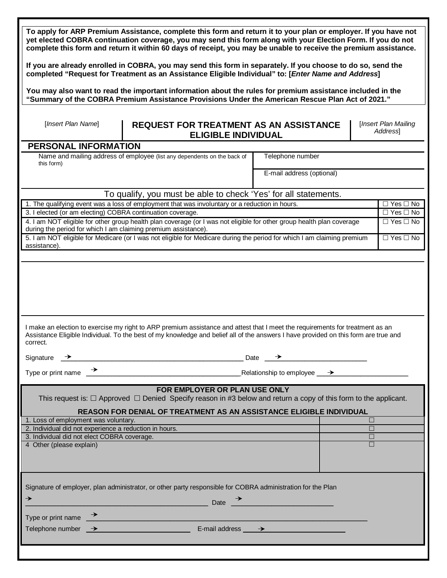|                                                                                                                                                                                                                                    | To apply for ARP Premium Assistance, complete this form and return it to your plan or employer. If you have not<br>yet elected COBRA continuation coverage, you may send this form along with your Election Form. If you do not<br>complete this form and return it within 60 days of receipt, you may be unable to receive the premium assistance. |                           |                                                          |  |  |  |  |
|------------------------------------------------------------------------------------------------------------------------------------------------------------------------------------------------------------------------------------|-----------------------------------------------------------------------------------------------------------------------------------------------------------------------------------------------------------------------------------------------------------------------------------------------------------------------------------------------------|---------------------------|----------------------------------------------------------|--|--|--|--|
| If you are already enrolled in COBRA, you may send this form in separately. If you choose to do so, send the<br>completed "Request for Treatment as an Assistance Eligible Individual" to: [Enter Name and Address]                |                                                                                                                                                                                                                                                                                                                                                     |                           |                                                          |  |  |  |  |
| You may also want to read the important information about the rules for premium assistance included in the<br>"Summary of the COBRA Premium Assistance Provisions Under the American Rescue Plan Act of 2021."                     |                                                                                                                                                                                                                                                                                                                                                     |                           |                                                          |  |  |  |  |
| [Insert Plan Name]                                                                                                                                                                                                                 | <b>REQUEST FOR TREATMENT AS AN ASSISTANCE</b><br><b>ELIGIBLE INDIVIDUAL</b>                                                                                                                                                                                                                                                                         |                           | [Insert Plan Mailing<br><b>Address</b>                   |  |  |  |  |
| <b>PERSONAL INFORMATION</b>                                                                                                                                                                                                        |                                                                                                                                                                                                                                                                                                                                                     |                           |                                                          |  |  |  |  |
| this form)                                                                                                                                                                                                                         | Name and mailing address of employee (list any dependents on the back of<br>Telephone number                                                                                                                                                                                                                                                        |                           |                                                          |  |  |  |  |
|                                                                                                                                                                                                                                    |                                                                                                                                                                                                                                                                                                                                                     | E-mail address (optional) |                                                          |  |  |  |  |
|                                                                                                                                                                                                                                    | To qualify, you must be able to check 'Yes' for all statements.                                                                                                                                                                                                                                                                                     |                           |                                                          |  |  |  |  |
|                                                                                                                                                                                                                                    | 1. The qualifying event was a loss of employment that was involuntary or a reduction in hours.                                                                                                                                                                                                                                                      |                           | $\overline{\Box \text{ Yes}} \overline{\Box \text{ No}}$ |  |  |  |  |
| 3. I elected (or am electing) COBRA continuation coverage.                                                                                                                                                                         |                                                                                                                                                                                                                                                                                                                                                     |                           | $\overline{\Box}$ Yes $\Box$ No                          |  |  |  |  |
| during the period for which I am claiming premium assistance).                                                                                                                                                                     | 4. I am NOT eligible for other group health plan coverage (or I was not eligible for other group health plan coverage                                                                                                                                                                                                                               |                           | $\Box$ Yes $\Box$ No                                     |  |  |  |  |
| assistance).                                                                                                                                                                                                                       | 5. I am NOT eligible for Medicare (or I was not eligible for Medicare during the period for which I am claiming premium                                                                                                                                                                                                                             |                           | $\Box$ Yes $\Box$ No                                     |  |  |  |  |
|                                                                                                                                                                                                                                    |                                                                                                                                                                                                                                                                                                                                                     |                           |                                                          |  |  |  |  |
| correct.<br>Signature $\rightarrow$                                                                                                                                                                                                | I make an election to exercise my right to ARP premium assistance and attest that I meet the requirements for treatment as an<br>Assistance Eligible Individual. To the best of my knowledge and belief all of the answers I have provided on this form are true and<br>$\Box$ Date $\rightarrow$                                                   |                           |                                                          |  |  |  |  |
|                                                                                                                                                                                                                                    |                                                                                                                                                                                                                                                                                                                                                     |                           |                                                          |  |  |  |  |
|                                                                                                                                                                                                                                    |                                                                                                                                                                                                                                                                                                                                                     |                           |                                                          |  |  |  |  |
| FOR EMPLOYER OR PLAN USE ONLY<br>This request is: $\Box$ Approved $\Box$ Denied Specify reason in #3 below and return a copy of this form to the applicant.<br>REASON FOR DENIAL OF TREATMENT AS AN ASSISTANCE ELIGIBLE INDIVIDUAL |                                                                                                                                                                                                                                                                                                                                                     |                           |                                                          |  |  |  |  |
| 1. Loss of employment was voluntary.                                                                                                                                                                                               |                                                                                                                                                                                                                                                                                                                                                     |                           | П                                                        |  |  |  |  |
| 2. Individual did not experience a reduction in hours.                                                                                                                                                                             |                                                                                                                                                                                                                                                                                                                                                     |                           | $\Box$                                                   |  |  |  |  |
| 3. Individual did not elect COBRA coverage.<br>4 Other (please explain)                                                                                                                                                            |                                                                                                                                                                                                                                                                                                                                                     |                           | $\Box$<br>$\Box$                                         |  |  |  |  |
|                                                                                                                                                                                                                                    |                                                                                                                                                                                                                                                                                                                                                     |                           |                                                          |  |  |  |  |
| Signature of employer, plan administrator, or other party responsible for COBRA administration for the Plan                                                                                                                        |                                                                                                                                                                                                                                                                                                                                                     |                           |                                                          |  |  |  |  |
|                                                                                                                                                                                                                                    |                                                                                                                                                                                                                                                                                                                                                     |                           |                                                          |  |  |  |  |
| →                                                                                                                                                                                                                                  | <u> 1989 - Johann Barbara, martxa alemaniar a</u>                                                                                                                                                                                                                                                                                                   | Date $\rightarrow$        |                                                          |  |  |  |  |
|                                                                                                                                                                                                                                    |                                                                                                                                                                                                                                                                                                                                                     |                           |                                                          |  |  |  |  |
|                                                                                                                                                                                                                                    | Type or print name $\rightarrow$<br>Telephone number $\rightarrow$ E-mail address $\rightarrow$                                                                                                                                                                                                                                                     |                           |                                                          |  |  |  |  |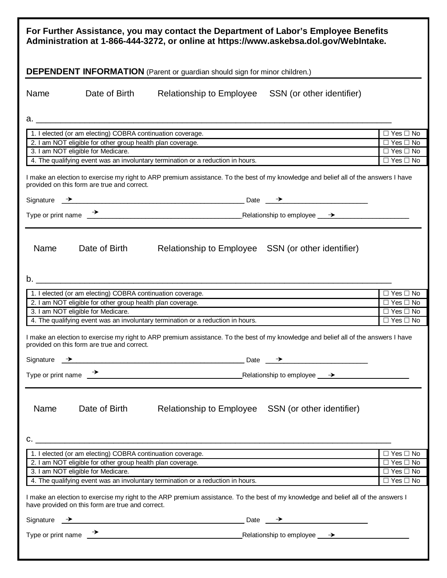|                                                                                                                                                                                    |                                                            | For Further Assistance, you may contact the Department of Labor's Employee Benefits<br>Administration at 1-866-444-3272, or online at https://www.askebsa.dol.gov/WebIntake.                                                             |                           |                                              |  |
|------------------------------------------------------------------------------------------------------------------------------------------------------------------------------------|------------------------------------------------------------|------------------------------------------------------------------------------------------------------------------------------------------------------------------------------------------------------------------------------------------|---------------------------|----------------------------------------------|--|
|                                                                                                                                                                                    |                                                            | <b>DEPENDENT INFORMATION</b> (Parent or guardian should sign for minor children.)                                                                                                                                                        |                           |                                              |  |
| Name                                                                                                                                                                               | Date of Birth                                              | <b>Relationship to Employee</b>                                                                                                                                                                                                          | SSN (or other identifier) |                                              |  |
|                                                                                                                                                                                    |                                                            |                                                                                                                                                                                                                                          |                           |                                              |  |
|                                                                                                                                                                                    | 1. I elected (or am electing) COBRA continuation coverage. |                                                                                                                                                                                                                                          |                           | $\Box$ Yes $\Box$ No                         |  |
|                                                                                                                                                                                    | 2. I am NOT eligible for other group health plan coverage. |                                                                                                                                                                                                                                          |                           | $\Box$ Yes $\Box$ No                         |  |
|                                                                                                                                                                                    | 3. I am NOT eligible for Medicare.                         | 4. The qualifying event was an involuntary termination or a reduction in hours.                                                                                                                                                          |                           | $\Box$ Yes $\Box$ No<br>$\Box$ Yes $\Box$ No |  |
|                                                                                                                                                                                    |                                                            |                                                                                                                                                                                                                                          |                           |                                              |  |
|                                                                                                                                                                                    | provided on this form are true and correct.                | I make an election to exercise my right to ARP premium assistance. To the best of my knowledge and belief all of the answers I have                                                                                                      |                           |                                              |  |
|                                                                                                                                                                                    |                                                            | Signature $\rightarrow$ Date $\rightarrow$                                                                                                                                                                                               |                           |                                              |  |
|                                                                                                                                                                                    |                                                            |                                                                                                                                                                                                                                          |                           |                                              |  |
|                                                                                                                                                                                    |                                                            |                                                                                                                                                                                                                                          |                           |                                              |  |
| Name                                                                                                                                                                               | Date of Birth                                              | Relationship to Employee SSN (or other identifier)                                                                                                                                                                                       |                           |                                              |  |
|                                                                                                                                                                                    |                                                            |                                                                                                                                                                                                                                          |                           |                                              |  |
|                                                                                                                                                                                    | 1. I elected (or am electing) COBRA continuation coverage. |                                                                                                                                                                                                                                          |                           | $\Box$ Yes $\Box$ No                         |  |
|                                                                                                                                                                                    | 2. I am NOT eligible for other group health plan coverage. |                                                                                                                                                                                                                                          |                           | $\Box$ Yes $\Box$ No                         |  |
|                                                                                                                                                                                    | 3. I am NOT eligible for Medicare.                         |                                                                                                                                                                                                                                          |                           | $\overline{\Box Y}$ es $\overline{\Box}$ No  |  |
|                                                                                                                                                                                    |                                                            | 4. The qualifying event was an involuntary termination or a reduction in hours.                                                                                                                                                          |                           | $\Box$ Yes $\Box$ No                         |  |
| I make an election to exercise my right to ARP premium assistance. To the best of my knowledge and belief all of the answers I have<br>provided on this form are true and correct. |                                                            |                                                                                                                                                                                                                                          |                           |                                              |  |
|                                                                                                                                                                                    |                                                            | Signature $\rightarrow$ Date $\rightarrow$                                                                                                                                                                                               |                           |                                              |  |
|                                                                                                                                                                                    | $\rightarrow$                                              |                                                                                                                                                                                                                                          |                           |                                              |  |
| Type or print name                                                                                                                                                                 |                                                            | <u>Netationship</u> to employee <u>→ Alexander Alexander Alexander Alexander Alexander Alexander Alexander Alexander Alexander Alexander Alexander Alexander Alexander Alexander Alexander Alexander Alexander Alexander Alexander A</u> |                           |                                              |  |
| Name                                                                                                                                                                               | Date of Birth                                              | Relationship to Employee SSN (or other identifier)                                                                                                                                                                                       |                           |                                              |  |
|                                                                                                                                                                                    |                                                            |                                                                                                                                                                                                                                          |                           |                                              |  |
|                                                                                                                                                                                    | 1. I elected (or am electing) COBRA continuation coverage. |                                                                                                                                                                                                                                          |                           | $\Box$ Yes $\Box$ No                         |  |
|                                                                                                                                                                                    | 2. I am NOT eligible for other group health plan coverage. |                                                                                                                                                                                                                                          |                           | $\overline{\Box Y}$ es $\Box$ No             |  |
|                                                                                                                                                                                    | 3. I am NOT eligible for Medicare.                         | 4. The qualifying event was an involuntary termination or a reduction in hours.                                                                                                                                                          |                           | $\Box$ Yes $\Box$ No<br>$\Box$ Yes $\Box$ No |  |
|                                                                                                                                                                                    | have provided on this form are true and correct.           | I make an election to exercise my right to the ARP premium assistance. To the best of my knowledge and belief all of the answers I                                                                                                       |                           |                                              |  |
|                                                                                                                                                                                    |                                                            |                                                                                                                                                                                                                                          |                           |                                              |  |
|                                                                                                                                                                                    |                                                            |                                                                                                                                                                                                                                          |                           |                                              |  |
|                                                                                                                                                                                    |                                                            |                                                                                                                                                                                                                                          |                           |                                              |  |